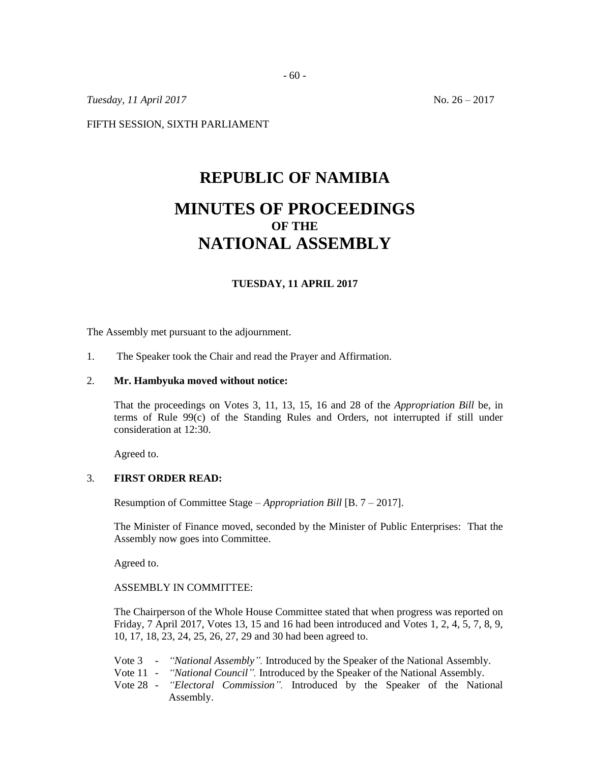*Tuesday, 11 April 2017* No. 26 – 2017

FIFTH SESSION, SIXTH PARLIAMENT

# **REPUBLIC OF NAMIBIA MINUTES OF PROCEEDINGS OF THE**

# **NATIONAL ASSEMBLY**

### **TUESDAY, 11 APRIL 2017**

The Assembly met pursuant to the adjournment.

1. The Speaker took the Chair and read the Prayer and Affirmation.

#### 2. **Mr. Hambyuka moved without notice:**

That the proceedings on Votes 3, 11, 13, 15, 16 and 28 of the *Appropriation Bill* be, in terms of Rule 99(c) of the Standing Rules and Orders, not interrupted if still under consideration at 12:30.

Agreed to.

#### 3. **FIRST ORDER READ:**

Resumption of Committee Stage – *Appropriation Bill* [B. 7 – 2017].

The Minister of Finance moved, seconded by the Minister of Public Enterprises: That the Assembly now goes into Committee.

Agreed to.

ASSEMBLY IN COMMITTEE:

The Chairperson of the Whole House Committee stated that when progress was reported on Friday, 7 April 2017, Votes 13, 15 and 16 had been introduced and Votes 1, 2, 4, 5, 7, 8, 9, 10, 17, 18, 23, 24, 25, 26, 27, 29 and 30 had been agreed to.

- Vote 3 *"National Assembly".* Introduced by the Speaker of the National Assembly.
- Vote 11 *"National Council".* Introduced by the Speaker of the National Assembly.
- Vote 28 *"Electoral Commission".* Introduced by the Speaker of the National Assembly.